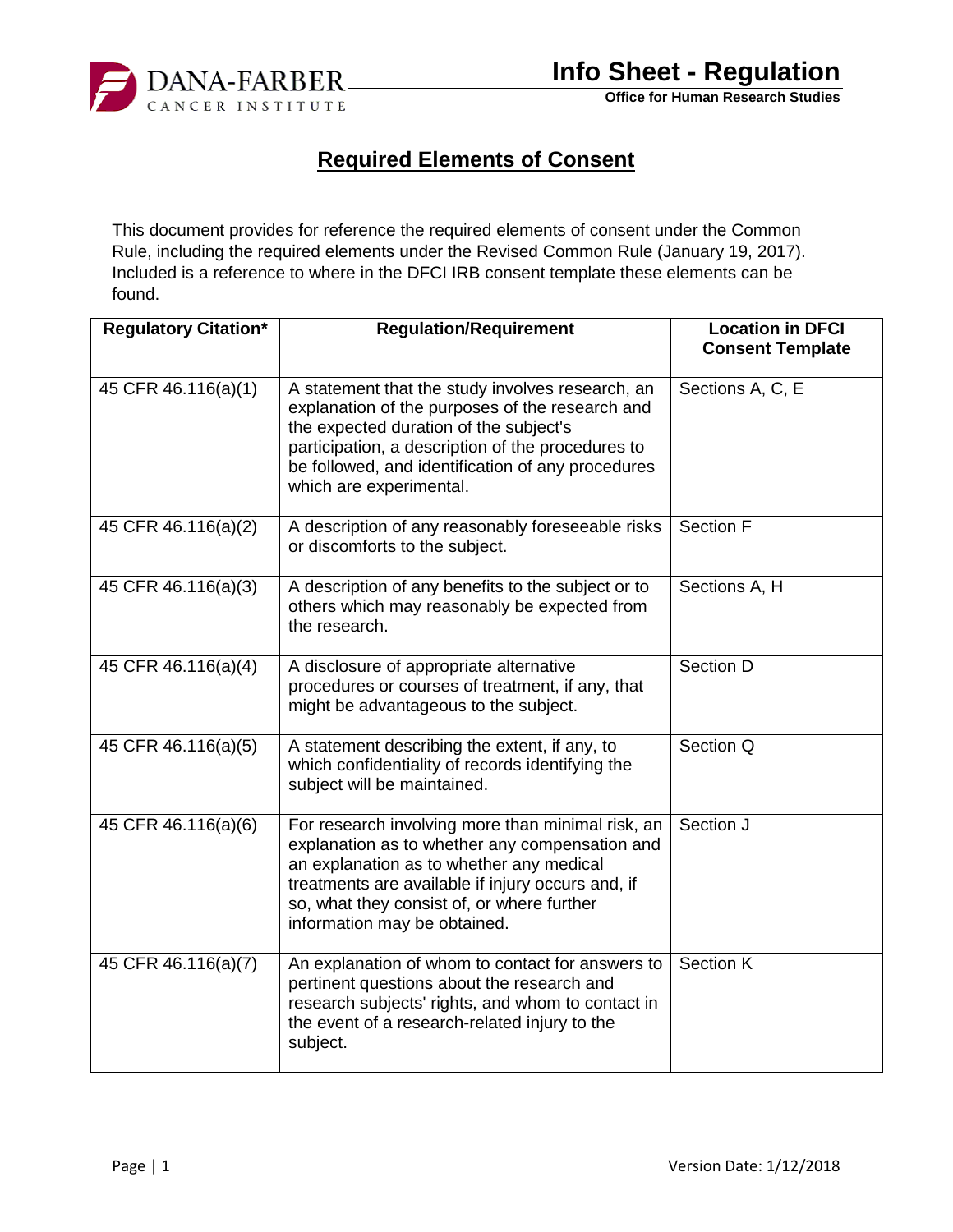

**Office for Human Research Studies**

## **Required Elements of Consent**

This document provides for reference the required elements of consent under the Common Rule, including the required elements under the Revised Common Rule (January 19, 2017). Included is a reference to where in the DFCI IRB consent template these elements can be found.

| <b>Regulatory Citation*</b> | <b>Regulation/Requirement</b>                                                                                                                                                                                                                                                      | <b>Location in DFCI</b><br><b>Consent Template</b> |
|-----------------------------|------------------------------------------------------------------------------------------------------------------------------------------------------------------------------------------------------------------------------------------------------------------------------------|----------------------------------------------------|
| 45 CFR 46.116(a)(1)         | A statement that the study involves research, an<br>explanation of the purposes of the research and<br>the expected duration of the subject's<br>participation, a description of the procedures to<br>be followed, and identification of any procedures<br>which are experimental. | Sections A, C, E                                   |
| 45 CFR 46.116(a)(2)         | A description of any reasonably foreseeable risks<br>or discomforts to the subject.                                                                                                                                                                                                | Section F                                          |
| 45 CFR 46.116(a)(3)         | A description of any benefits to the subject or to<br>others which may reasonably be expected from<br>the research.                                                                                                                                                                | Sections A, H                                      |
| 45 CFR 46.116(a)(4)         | A disclosure of appropriate alternative<br>procedures or courses of treatment, if any, that<br>might be advantageous to the subject.                                                                                                                                               | Section D                                          |
| 45 CFR 46.116(a)(5)         | A statement describing the extent, if any, to<br>which confidentiality of records identifying the<br>subject will be maintained.                                                                                                                                                   | Section Q                                          |
| 45 CFR 46.116(a)(6)         | For research involving more than minimal risk, an<br>explanation as to whether any compensation and<br>an explanation as to whether any medical<br>treatments are available if injury occurs and, if<br>so, what they consist of, or where further<br>information may be obtained. | Section J                                          |
| 45 CFR 46.116(a)(7)         | An explanation of whom to contact for answers to<br>pertinent questions about the research and<br>research subjects' rights, and whom to contact in<br>the event of a research-related injury to the<br>subject.                                                                   | <b>Section K</b>                                   |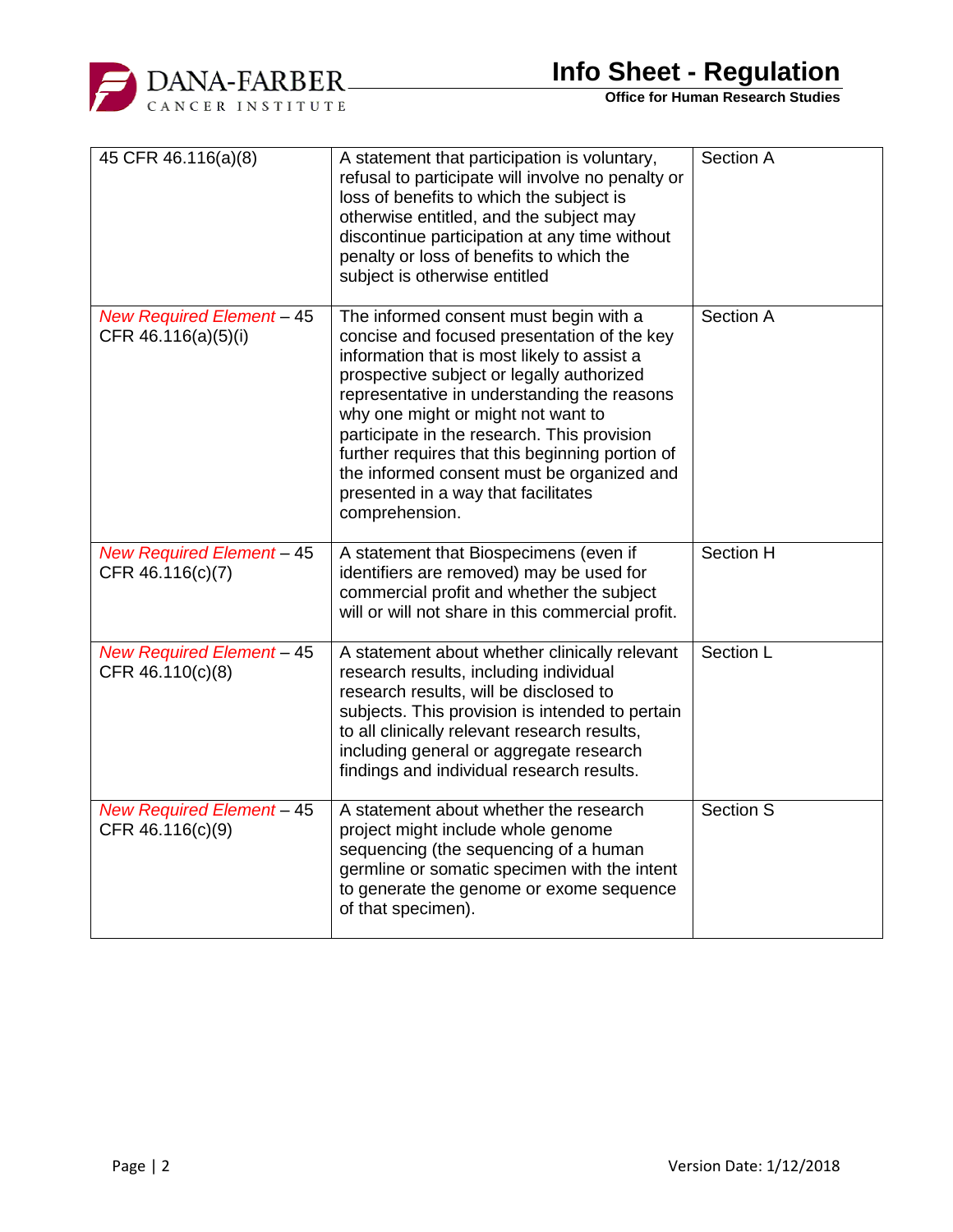

**Office for Human Research Studies**

| 45 CFR 46.116(a)(8)                                     | A statement that participation is voluntary,<br>refusal to participate will involve no penalty or<br>loss of benefits to which the subject is<br>otherwise entitled, and the subject may<br>discontinue participation at any time without<br>penalty or loss of benefits to which the<br>subject is otherwise entitled                                                                                                                                                          | Section A        |
|---------------------------------------------------------|---------------------------------------------------------------------------------------------------------------------------------------------------------------------------------------------------------------------------------------------------------------------------------------------------------------------------------------------------------------------------------------------------------------------------------------------------------------------------------|------------------|
| <b>New Required Element - 45</b><br>CFR 46.116(a)(5)(i) | The informed consent must begin with a<br>concise and focused presentation of the key<br>information that is most likely to assist a<br>prospective subject or legally authorized<br>representative in understanding the reasons<br>why one might or might not want to<br>participate in the research. This provision<br>further requires that this beginning portion of<br>the informed consent must be organized and<br>presented in a way that facilitates<br>comprehension. | Section A        |
| <b>New Required Element - 45</b><br>CFR 46.116(c)(7)    | A statement that Biospecimens (even if<br>identifiers are removed) may be used for<br>commercial profit and whether the subject<br>will or will not share in this commercial profit.                                                                                                                                                                                                                                                                                            | Section H        |
| <b>New Required Element - 45</b><br>CFR 46.110(c)(8)    | A statement about whether clinically relevant<br>research results, including individual<br>research results, will be disclosed to<br>subjects. This provision is intended to pertain<br>to all clinically relevant research results,<br>including general or aggregate research<br>findings and individual research results.                                                                                                                                                    | Section L        |
| <b>New Required Element - 45</b><br>CFR 46.116(c)(9)    | A statement about whether the research<br>project might include whole genome<br>sequencing (the sequencing of a human<br>germline or somatic specimen with the intent<br>to generate the genome or exome sequence<br>of that specimen).                                                                                                                                                                                                                                         | <b>Section S</b> |